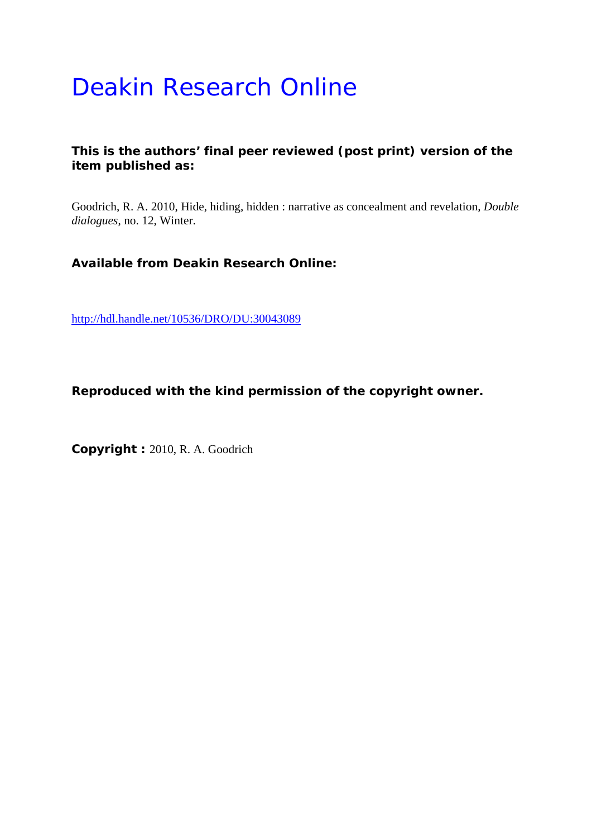# Deakin Research Online

## **This is the authors' final peer reviewed (post print) version of the item published as:**

Goodrich, R. A. 2010, Hide, hiding, hidden : narrative as concealment and revelation*, Double dialogues*, no. 12, Winter.

**Available from Deakin Research Online:** 

http://hdl.handle.net/10536/DRO/DU:30043089

**Reproduced with the kind permission of the copyright owner.** 

**Copyright :** 2010, R. A. Goodrich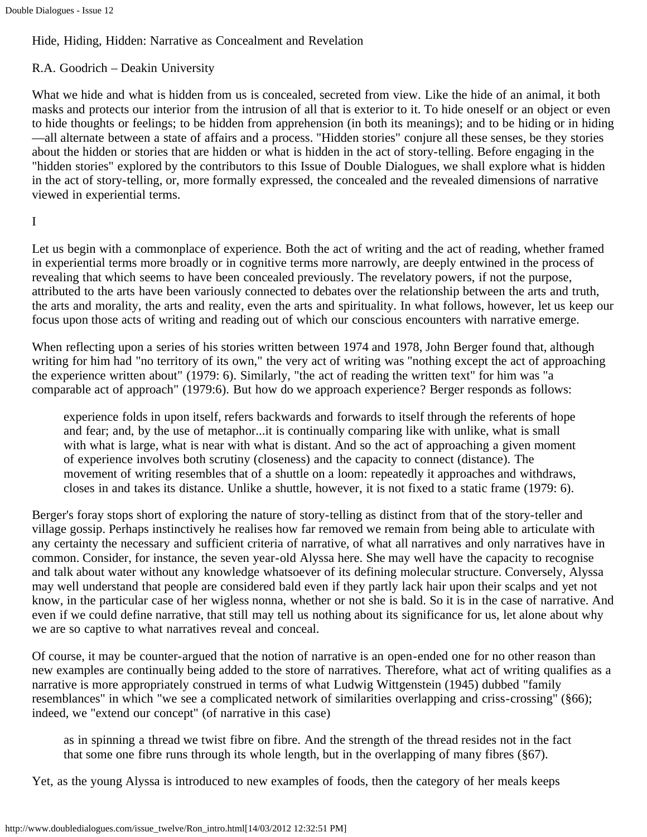## Hide, Hiding, Hidden: Narrative as Concealment and Revelation

## R.A. Goodrich – Deakin University

What we hide and what is hidden from us is concealed, secreted from view. Like the hide of an animal, it both masks and protects our interior from the intrusion of all that is exterior to it. To hide oneself or an object or even to hide thoughts or feelings; to be hidden from apprehension (in both its meanings); and to be hiding or in hiding —all alternate between a state of affairs and a process. "Hidden stories" conjure all these senses, be they stories about the hidden or stories that are hidden or what is hidden in the act of story-telling. Before engaging in the "hidden stories" explored by the contributors to this Issue of Double Dialogues, we shall explore what is hidden in the act of story-telling, or, more formally expressed, the concealed and the revealed dimensions of narrative viewed in experiential terms.

#### I

Let us begin with a commonplace of experience. Both the act of writing and the act of reading, whether framed in experiential terms more broadly or in cognitive terms more narrowly, are deeply entwined in the process of revealing that which seems to have been concealed previously. The revelatory powers, if not the purpose, attributed to the arts have been variously connected to debates over the relationship between the arts and truth, the arts and morality, the arts and reality, even the arts and spirituality. In what follows, however, let us keep our focus upon those acts of writing and reading out of which our conscious encounters with narrative emerge.

When reflecting upon a series of his stories written between 1974 and 1978, John Berger found that, although writing for him had "no territory of its own," the very act of writing was "nothing except the act of approaching the experience written about" (1979: 6). Similarly, "the act of reading the written text" for him was "a comparable act of approach" (1979:6). But how do we approach experience? Berger responds as follows:

experience folds in upon itself, refers backwards and forwards to itself through the referents of hope and fear; and, by the use of metaphor...it is continually comparing like with unlike, what is small with what is large, what is near with what is distant. And so the act of approaching a given moment of experience involves both scrutiny (closeness) and the capacity to connect (distance). The movement of writing resembles that of a shuttle on a loom: repeatedly it approaches and withdraws, closes in and takes its distance. Unlike a shuttle, however, it is not fixed to a static frame (1979: 6).

Berger's foray stops short of exploring the nature of story-telling as distinct from that of the story-teller and village gossip. Perhaps instinctively he realises how far removed we remain from being able to articulate with any certainty the necessary and sufficient criteria of narrative, of what all narratives and only narratives have in common. Consider, for instance, the seven year-old Alyssa here. She may well have the capacity to recognise and talk about water without any knowledge whatsoever of its defining molecular structure. Conversely, Alyssa may well understand that people are considered bald even if they partly lack hair upon their scalps and yet not know, in the particular case of her wigless nonna, whether or not she is bald. So it is in the case of narrative. And even if we could define narrative, that still may tell us nothing about its significance for us, let alone about why we are so captive to what narratives reveal and conceal.

Of course, it may be counter-argued that the notion of narrative is an open-ended one for no other reason than new examples are continually being added to the store of narratives. Therefore, what act of writing qualifies as a narrative is more appropriately construed in terms of what Ludwig Wittgenstein (1945) dubbed "family resemblances" in which "we see a complicated network of similarities overlapping and criss-crossing" (§66); indeed, we "extend our concept" (of narrative in this case)

as in spinning a thread we twist fibre on fibre. And the strength of the thread resides not in the fact that some one fibre runs through its whole length, but in the overlapping of many fibres (§67).

Yet, as the young Alyssa is introduced to new examples of foods, then the category of her meals keeps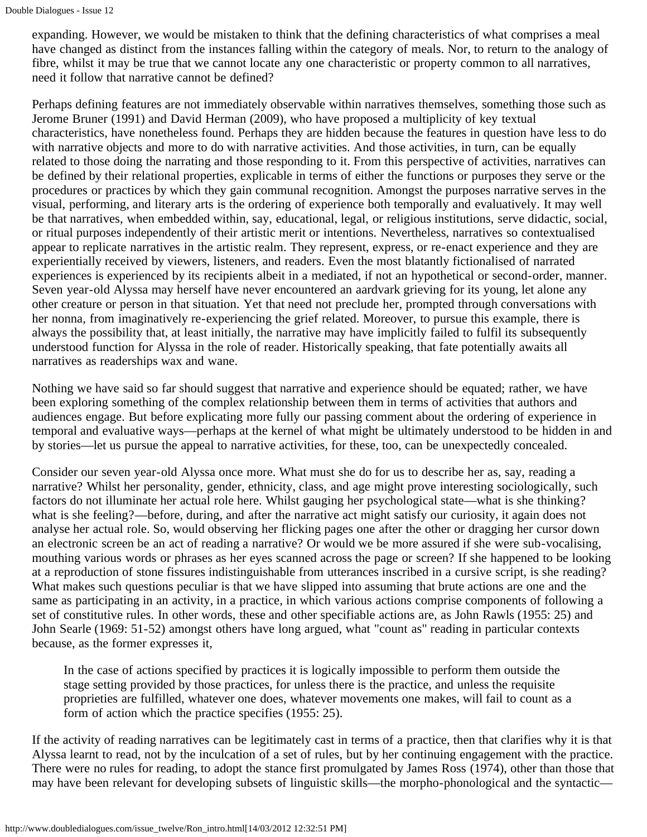expanding. However, we would be mistaken to think that the defining characteristics of what comprises a meal have changed as distinct from the instances falling within the category of meals. Nor, to return to the analogy of fibre, whilst it may be true that we cannot locate any one characteristic or property common to all narratives, need it follow that narrative cannot be defined?

Perhaps defining features are not immediately observable within narratives themselves, something those such as Jerome Bruner (1991) and David Herman (2009), who have proposed a multiplicity of key textual characteristics, have nonetheless found. Perhaps they are hidden because the features in question have less to do with narrative objects and more to do with narrative activities. And those activities, in turn, can be equally related to those doing the narrating and those responding to it. From this perspective of activities, narratives can be defined by their relational properties, explicable in terms of either the functions or purposes they serve or the procedures or practices by which they gain communal recognition. Amongst the purposes narrative serves in the visual, performing, and literary arts is the ordering of experience both temporally and evaluatively. It may well be that narratives, when embedded within, say, educational, legal, or religious institutions, serve didactic, social, or ritual purposes independently of their artistic merit or intentions. Nevertheless, narratives so contextualised appear to replicate narratives in the artistic realm. They represent, express, or re-enact experience and they are experientially received by viewers, listeners, and readers. Even the most blatantly fictionalised of narrated experiences is experienced by its recipients albeit in a mediated, if not an hypothetical or second-order, manner. Seven year-old Alyssa may herself have never encountered an aardvark grieving for its young, let alone any other creature or person in that situation. Yet that need not preclude her, prompted through conversations with her nonna, from imaginatively re-experiencing the grief related. Moreover, to pursue this example, there is always the possibility that, at least initially, the narrative may have implicitly failed to fulfil its subsequently understood function for Alyssa in the role of reader. Historically speaking, that fate potentially awaits all narratives as readerships wax and wane.

Nothing we have said so far should suggest that narrative and experience should be equated; rather, we have been exploring something of the complex relationship between them in terms of activities that authors and audiences engage. But before explicating more fully our passing comment about the ordering of experience in temporal and evaluative ways—perhaps at the kernel of what might be ultimately understood to be hidden in and by stories—let us pursue the appeal to narrative activities, for these, too, can be unexpectedly concealed.

Consider our seven year-old Alyssa once more. What must she do for us to describe her as, say, reading a narrative? Whilst her personality, gender, ethnicity, class, and age might prove interesting sociologically, such factors do not illuminate her actual role here. Whilst gauging her psychological state—what is she thinking? what is she feeling?—before, during, and after the narrative act might satisfy our curiosity, it again does not analyse her actual role. So, would observing her flicking pages one after the other or dragging her cursor down an electronic screen be an act of reading a narrative? Or would we be more assured if she were sub-vocalising, mouthing various words or phrases as her eyes scanned across the page or screen? If she happened to be looking at a reproduction of stone fissures indistinguishable from utterances inscribed in a cursive script, is she reading? What makes such questions peculiar is that we have slipped into assuming that brute actions are one and the same as participating in an activity, in a practice, in which various actions comprise components of following a set of constitutive rules. In other words, these and other specifiable actions are, as John Rawls (1955: 25) and John Searle (1969: 51-52) amongst others have long argued, what "count as" reading in particular contexts because, as the former expresses it,

In the case of actions specified by practices it is logically impossible to perform them outside the stage setting provided by those practices, for unless there is the practice, and unless the requisite proprieties are fulfilled, whatever one does, whatever movements one makes, will fail to count as a form of action which the practice specifies (1955: 25).

If the activity of reading narratives can be legitimately cast in terms of a practice, then that clarifies why it is that Alyssa learnt to read, not by the inculcation of a set of rules, but by her continuing engagement with the practice. There were no rules for reading, to adopt the stance first promulgated by James Ross (1974), other than those that may have been relevant for developing subsets of linguistic skills—the morpho-phonological and the syntactic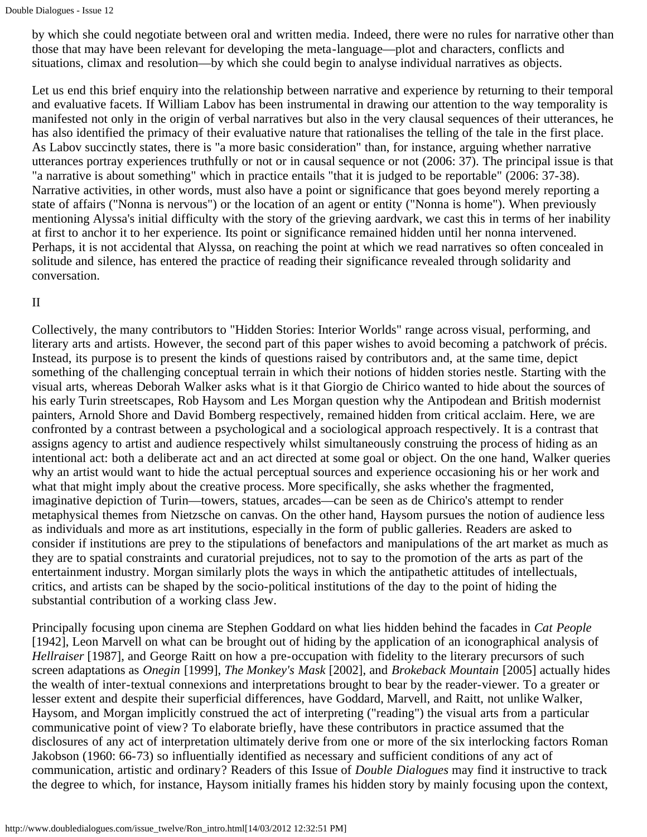by which she could negotiate between oral and written media. Indeed, there were no rules for narrative other than those that may have been relevant for developing the meta-language—plot and characters, conflicts and situations, climax and resolution—by which she could begin to analyse individual narratives as objects.

Let us end this brief enquiry into the relationship between narrative and experience by returning to their temporal and evaluative facets. If William Labov has been instrumental in drawing our attention to the way temporality is manifested not only in the origin of verbal narratives but also in the very clausal sequences of their utterances, he has also identified the primacy of their evaluative nature that rationalises the telling of the tale in the first place. As Labov succinctly states, there is "a more basic consideration" than, for instance, arguing whether narrative utterances portray experiences truthfully or not or in causal sequence or not (2006: 37). The principal issue is that "a narrative is about something" which in practice entails "that it is judged to be reportable" (2006: 37-38). Narrative activities, in other words, must also have a point or significance that goes beyond merely reporting a state of affairs ("Nonna is nervous") or the location of an agent or entity ("Nonna is home"). When previously mentioning Alyssa's initial difficulty with the story of the grieving aardvark, we cast this in terms of her inability at first to anchor it to her experience. Its point or significance remained hidden until her nonna intervened. Perhaps, it is not accidental that Alyssa, on reaching the point at which we read narratives so often concealed in solitude and silence, has entered the practice of reading their significance revealed through solidarity and conversation.

#### II

Collectively, the many contributors to "Hidden Stories: Interior Worlds" range across visual, performing, and literary arts and artists. However, the second part of this paper wishes to avoid becoming a patchwork of précis. Instead, its purpose is to present the kinds of questions raised by contributors and, at the same time, depict something of the challenging conceptual terrain in which their notions of hidden stories nestle. Starting with the visual arts, whereas Deborah Walker asks what is it that Giorgio de Chirico wanted to hide about the sources of his early Turin streetscapes, Rob Haysom and Les Morgan question why the Antipodean and British modernist painters, Arnold Shore and David Bomberg respectively, remained hidden from critical acclaim. Here, we are confronted by a contrast between a psychological and a sociological approach respectively. It is a contrast that assigns agency to artist and audience respectively whilst simultaneously construing the process of hiding as an intentional act: both a deliberate act and an act directed at some goal or object. On the one hand, Walker queries why an artist would want to hide the actual perceptual sources and experience occasioning his or her work and what that might imply about the creative process. More specifically, she asks whether the fragmented, imaginative depiction of Turin—towers, statues, arcades—can be seen as de Chirico's attempt to render metaphysical themes from Nietzsche on canvas. On the other hand, Haysom pursues the notion of audience less as individuals and more as art institutions, especially in the form of public galleries. Readers are asked to consider if institutions are prey to the stipulations of benefactors and manipulations of the art market as much as they are to spatial constraints and curatorial prejudices, not to say to the promotion of the arts as part of the entertainment industry. Morgan similarly plots the ways in which the antipathetic attitudes of intellectuals, critics, and artists can be shaped by the socio-political institutions of the day to the point of hiding the substantial contribution of a working class Jew.

Principally focusing upon cinema are Stephen Goddard on what lies hidden behind the facades in *Cat People* [1942], Leon Marvell on what can be brought out of hiding by the application of an iconographical analysis of *Hellraiser* [1987], and George Raitt on how a pre-occupation with fidelity to the literary precursors of such screen adaptations as *Onegin* [1999], *The Monkey's Mask* [2002], and *Brokeback Mountain* [2005] actually hides the wealth of inter-textual connexions and interpretations brought to bear by the reader-viewer. To a greater or lesser extent and despite their superficial differences, have Goddard, Marvell, and Raitt, not unlike Walker, Haysom, and Morgan implicitly construed the act of interpreting ("reading") the visual arts from a particular communicative point of view? To elaborate briefly, have these contributors in practice assumed that the disclosures of any act of interpretation ultimately derive from one or more of the six interlocking factors Roman Jakobson (1960: 66-73) so influentially identified as necessary and sufficient conditions of any act of communication, artistic and ordinary? Readers of this Issue of *Double Dialogues* may find it instructive to track the degree to which, for instance, Haysom initially frames his hidden story by mainly focusing upon the context,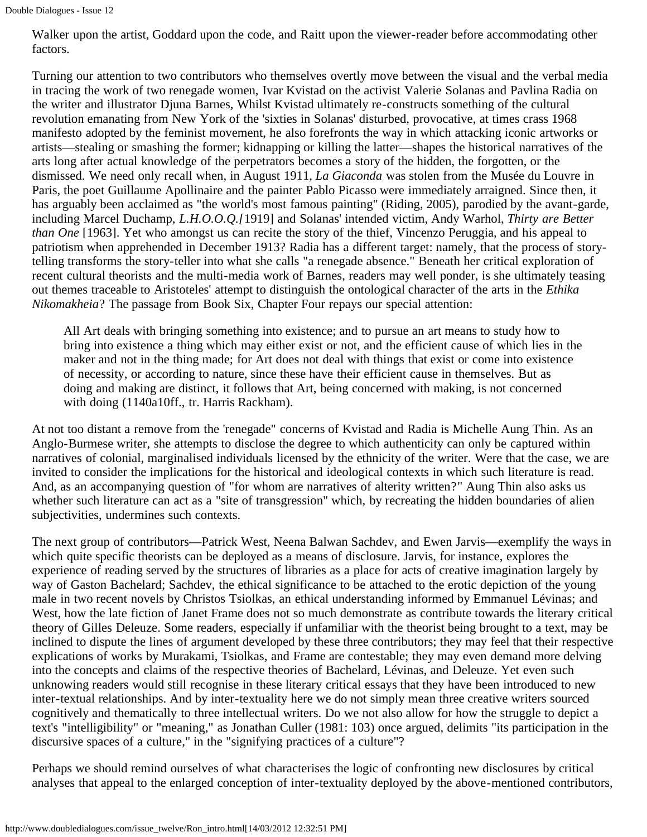Walker upon the artist, Goddard upon the code, and Raitt upon the viewer-reader before accommodating other factors.

Turning our attention to two contributors who themselves overtly move between the visual and the verbal media in tracing the work of two renegade women, Ivar Kvistad on the activist Valerie Solanas and Pavlina Radia on the writer and illustrator Djuna Barnes, Whilst Kvistad ultimately re-constructs something of the cultural revolution emanating from New York of the 'sixties in Solanas' disturbed, provocative, at times crass 1968 manifesto adopted by the feminist movement, he also forefronts the way in which attacking iconic artworks or artists—stealing or smashing the former; kidnapping or killing the latter—shapes the historical narratives of the arts long after actual knowledge of the perpetrators becomes a story of the hidden, the forgotten, or the dismissed. We need only recall when, in August 1911, *La Giaconda* was stolen from the Musée du Louvre in Paris, the poet Guillaume Apollinaire and the painter Pablo Picasso were immediately arraigned. Since then, it has arguably been acclaimed as "the world's most famous painting" (Riding, 2005), parodied by the avant-garde, including Marcel Duchamp, *L.H.O.O.Q.[*1919] and Solanas' intended victim, Andy Warhol, *Thirty are Better than One* [1963]. Yet who amongst us can recite the story of the thief, Vincenzo Peruggia, and his appeal to patriotism when apprehended in December 1913? Radia has a different target: namely, that the process of storytelling transforms the story-teller into what she calls "a renegade absence." Beneath her critical exploration of recent cultural theorists and the multi-media work of Barnes, readers may well ponder, is she ultimately teasing out themes traceable to Aristoteles' attempt to distinguish the ontological character of the arts in the *Ethika Nikomakheia*? The passage from Book Six, Chapter Four repays our special attention:

All Art deals with bringing something into existence; and to pursue an art means to study how to bring into existence a thing which may either exist or not, and the efficient cause of which lies in the maker and not in the thing made; for Art does not deal with things that exist or come into existence of necessity, or according to nature, since these have their efficient cause in themselves. But as doing and making are distinct, it follows that Art, being concerned with making, is not concerned with doing (1140a10ff., tr. Harris Rackham).

At not too distant a remove from the 'renegade" concerns of Kvistad and Radia is Michelle Aung Thin. As an Anglo-Burmese writer, she attempts to disclose the degree to which authenticity can only be captured within narratives of colonial, marginalised individuals licensed by the ethnicity of the writer. Were that the case, we are invited to consider the implications for the historical and ideological contexts in which such literature is read. And, as an accompanying question of "for whom are narratives of alterity written?" Aung Thin also asks us whether such literature can act as a "site of transgression" which, by recreating the hidden boundaries of alien subjectivities, undermines such contexts.

The next group of contributors—Patrick West, Neena Balwan Sachdev, and Ewen Jarvis—exemplify the ways in which quite specific theorists can be deployed as a means of disclosure. Jarvis, for instance, explores the experience of reading served by the structures of libraries as a place for acts of creative imagination largely by way of Gaston Bachelard; Sachdev, the ethical significance to be attached to the erotic depiction of the young male in two recent novels by Christos Tsiolkas, an ethical understanding informed by Emmanuel Lévinas; and West, how the late fiction of Janet Frame does not so much demonstrate as contribute towards the literary critical theory of Gilles Deleuze. Some readers, especially if unfamiliar with the theorist being brought to a text, may be inclined to dispute the lines of argument developed by these three contributors; they may feel that their respective explications of works by Murakami, Tsiolkas, and Frame are contestable; they may even demand more delving into the concepts and claims of the respective theories of Bachelard, Lévinas, and Deleuze. Yet even such unknowing readers would still recognise in these literary critical essays that they have been introduced to new inter-textual relationships. And by inter-textuality here we do not simply mean three creative writers sourced cognitively and thematically to three intellectual writers. Do we not also allow for how the struggle to depict a text's "intelligibility" or "meaning," as Jonathan Culler (1981: 103) once argued, delimits "its participation in the discursive spaces of a culture," in the "signifying practices of a culture"?

Perhaps we should remind ourselves of what characterises the logic of confronting new disclosures by critical analyses that appeal to the enlarged conception of inter-textuality deployed by the above-mentioned contributors,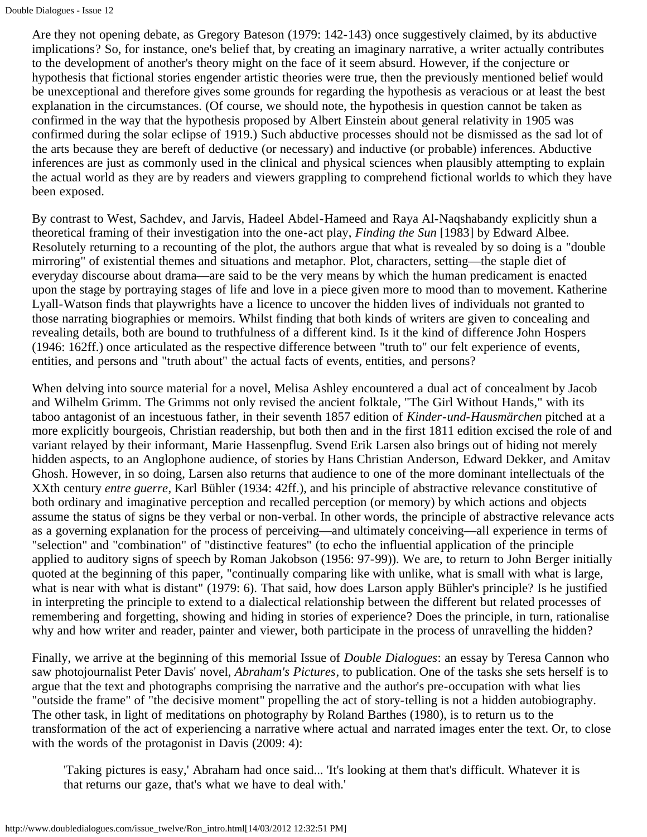Are they not opening debate, as Gregory Bateson (1979: 142-143) once suggestively claimed, by its abductive implications? So, for instance, one's belief that, by creating an imaginary narrative, a writer actually contributes to the development of another's theory might on the face of it seem absurd. However, if the conjecture or hypothesis that fictional stories engender artistic theories were true, then the previously mentioned belief would be unexceptional and therefore gives some grounds for regarding the hypothesis as veracious or at least the best explanation in the circumstances. (Of course, we should note, the hypothesis in question cannot be taken as confirmed in the way that the hypothesis proposed by Albert Einstein about general relativity in 1905 was confirmed during the solar eclipse of 1919.) Such abductive processes should not be dismissed as the sad lot of the arts because they are bereft of deductive (or necessary) and inductive (or probable) inferences. Abductive inferences are just as commonly used in the clinical and physical sciences when plausibly attempting to explain the actual world as they are by readers and viewers grappling to comprehend fictional worlds to which they have been exposed.

By contrast to West, Sachdev, and Jarvis, Hadeel Abdel-Hameed and Raya Al-Naqshabandy explicitly shun a theoretical framing of their investigation into the one-act play, *Finding the Sun* [1983] by Edward Albee. Resolutely returning to a recounting of the plot, the authors argue that what is revealed by so doing is a "double mirroring" of existential themes and situations and metaphor. Plot, characters, setting—the staple diet of everyday discourse about drama—are said to be the very means by which the human predicament is enacted upon the stage by portraying stages of life and love in a piece given more to mood than to movement. Katherine Lyall-Watson finds that playwrights have a licence to uncover the hidden lives of individuals not granted to those narrating biographies or memoirs. Whilst finding that both kinds of writers are given to concealing and revealing details, both are bound to truthfulness of a different kind. Is it the kind of difference John Hospers (1946: 162ff.) once articulated as the respective difference between "truth to" our felt experience of events, entities, and persons and "truth about" the actual facts of events, entities, and persons?

When delving into source material for a novel, Melisa Ashley encountered a dual act of concealment by Jacob and Wilhelm Grimm. The Grimms not only revised the ancient folktale, "The Girl Without Hands," with its taboo antagonist of an incestuous father, in their seventh 1857 edition of *Kinder-und-Hausmärchen* pitched at a more explicitly bourgeois, Christian readership, but both then and in the first 1811 edition excised the role of and variant relayed by their informant, Marie Hassenpflug. Svend Erik Larsen also brings out of hiding not merely hidden aspects, to an Anglophone audience, of stories by Hans Christian Anderson, Edward Dekker, and Amitav Ghosh. However, in so doing, Larsen also returns that audience to one of the more dominant intellectuals of the XXth century *entre guerre*, Karl Bühler (1934: 42ff.), and his principle of abstractive relevance constitutive of both ordinary and imaginative perception and recalled perception (or memory) by which actions and objects assume the status of signs be they verbal or non-verbal. In other words, the principle of abstractive relevance acts as a governing explanation for the process of perceiving—and ultimately conceiving—all experience in terms of "selection" and "combination" of "distinctive features" (to echo the influential application of the principle applied to auditory signs of speech by Roman Jakobson (1956: 97-99)). We are, to return to John Berger initially quoted at the beginning of this paper, "continually comparing like with unlike, what is small with what is large, what is near with what is distant" (1979: 6). That said, how does Larson apply Bühler's principle? Is he justified in interpreting the principle to extend to a dialectical relationship between the different but related processes of remembering and forgetting, showing and hiding in stories of experience? Does the principle, in turn, rationalise why and how writer and reader, painter and viewer, both participate in the process of unravelling the hidden?

Finally, we arrive at the beginning of this memorial Issue of *Double Dialogues*: an essay by Teresa Cannon who saw photojournalist Peter Davis' novel, *Abraham's Pictures*, to publication. One of the tasks she sets herself is to argue that the text and photographs comprising the narrative and the author's pre-occupation with what lies "outside the frame" of "the decisive moment" propelling the act of story-telling is not a hidden autobiography. The other task, in light of meditations on photography by Roland Barthes (1980), is to return us to the transformation of the act of experiencing a narrative where actual and narrated images enter the text. Or, to close with the words of the protagonist in Davis (2009: 4):

'Taking pictures is easy,' Abraham had once said... 'It's looking at them that's difficult. Whatever it is that returns our gaze, that's what we have to deal with.'